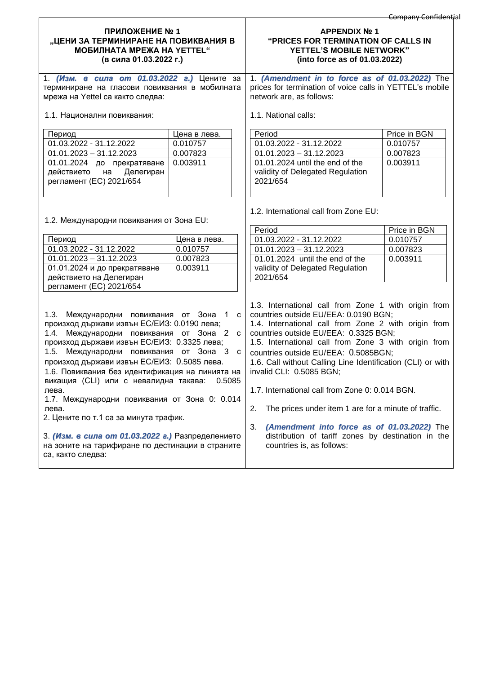## **ПРИЛОЖЕНИЕ № 1 "ЦЕНИ ЗА ТЕРМИНИРАНЕ НА ПОВИКВАНИЯ В МОБИЛНАТА МРЕЖА НА YETTEL" (в сила 01.03.2022 г.)**

1. *(Изм. в сила от 01.03.2022 г.)* Цените за терминиране на гласови повиквания в мобилната мрежа на Yettel са както следва:

1.1. Национални повиквания:

| Период                     | Цена в лева. |
|----------------------------|--------------|
| 01.03.2022 - 31.12.2022    | 0.010757     |
| $01.01.2023 - 31.12.2023$  | 0.007823     |
| 01.01.2024 до прекратяване | 0.003911     |
| действието на Делегиран    |              |
| регламент (ЕС) 2021/654    |              |
|                            |              |

1.2. Международни повиквания от Зона EU:

|                                                                                                                                                                                                                                                                                                                                                                                                                                                                                                                                                                                                                   |                        | Period                                                                                                                                                                                                                                                                                                                                                                                                                                                                                                                                                                                                                                             | Price in BGN |
|-------------------------------------------------------------------------------------------------------------------------------------------------------------------------------------------------------------------------------------------------------------------------------------------------------------------------------------------------------------------------------------------------------------------------------------------------------------------------------------------------------------------------------------------------------------------------------------------------------------------|------------------------|----------------------------------------------------------------------------------------------------------------------------------------------------------------------------------------------------------------------------------------------------------------------------------------------------------------------------------------------------------------------------------------------------------------------------------------------------------------------------------------------------------------------------------------------------------------------------------------------------------------------------------------------------|--------------|
| Период                                                                                                                                                                                                                                                                                                                                                                                                                                                                                                                                                                                                            | Цена в лева.           | 01.03.2022 - 31.12.2022                                                                                                                                                                                                                                                                                                                                                                                                                                                                                                                                                                                                                            | 0.010757     |
| 01.03.2022 - 31.12.2022                                                                                                                                                                                                                                                                                                                                                                                                                                                                                                                                                                                           | 0.010757               | $01.01.2023 - 31.12.2023$                                                                                                                                                                                                                                                                                                                                                                                                                                                                                                                                                                                                                          | 0.007823     |
| $01.01.2023 - 31.12.2023$                                                                                                                                                                                                                                                                                                                                                                                                                                                                                                                                                                                         | 0.007823               | 01.01.2024 until the end of the                                                                                                                                                                                                                                                                                                                                                                                                                                                                                                                                                                                                                    | 0.003911     |
| 01.01.2024 и до прекратяване                                                                                                                                                                                                                                                                                                                                                                                                                                                                                                                                                                                      | 0.003911               | validity of Delegated Regulation                                                                                                                                                                                                                                                                                                                                                                                                                                                                                                                                                                                                                   |              |
| действието на Делегиран                                                                                                                                                                                                                                                                                                                                                                                                                                                                                                                                                                                           |                        | 2021/654                                                                                                                                                                                                                                                                                                                                                                                                                                                                                                                                                                                                                                           |              |
| регламент (ЕС) 2021/654                                                                                                                                                                                                                                                                                                                                                                                                                                                                                                                                                                                           |                        |                                                                                                                                                                                                                                                                                                                                                                                                                                                                                                                                                                                                                                                    |              |
| 1.3. Международни повиквания от Зона 1<br>произход държави извън ЕС/ЕИЗ: 0.0190 лева;<br>1.4. Международни повиквания от Зона 2 с<br>произход държави извън ЕС/ЕИЗ: 0.3325 лева;<br>1.5. Международни повиквания от Зона 3 с<br>произход държави извън ЕС/ЕИЗ: 0.5085 лева.<br>1.6. Повиквания без идентификация на линията на<br>викащия (CLI) или с невалидна такава:<br>лева.<br>1.7. Международни повиквания от Зона 0: 0.014<br>лева.<br>2. Цените по т.1 са за минута трафик.<br>3. (Изм. в сила от 01.03.2022 г.) Разпределението<br>на зоните на тарифиране по дестинации в страните<br>са, както следва: | $\mathbf{C}$<br>0.5085 | 1.3. International call from Zone 1 with origin from<br>countries outside EU/EEA: 0.0190 BGN;<br>1.4. International call from Zone 2 with origin from<br>countries outside EU/EEA: 0.3325 BGN;<br>1.5. International call from Zone 3 with origin from<br>countries outside EU/EEA: 0.5085BGN;<br>1.6. Call without Calling Line Identification (CLI) or with<br>invalid CLI: 0.5085 BGN;<br>1.7. International call from Zone 0: 0.014 BGN.<br>2.<br>The prices under item 1 are for a minute of traffic.<br>3.<br>(Amendment into force as of 01.03.2022) The<br>distribution of tariff zones by destination in the<br>countries is, as follows: |              |

## **APPENDIX № 1 "PRICES FOR TERMINATION OF CALLS IN YETTEL'S MOBILE NETWORK" (into force as of 01.03.2022)**

1. *(Amendment in to force as of 01.03.2022)* The prices for termination of voice calls in YETTEL's mobile network are, as follows:

1.1. National calls:

| Period                                                                          | Price in BGN |
|---------------------------------------------------------------------------------|--------------|
| 01.03.2022 - 31.12.2022                                                         | 0.010757     |
| $01.01.2023 - 31.12.2023$                                                       | 0.007823     |
| 01.01.2024 until the end of the<br>validity of Delegated Regulation<br>2021/654 | 0.003911     |

1.2. International call from Zone EU: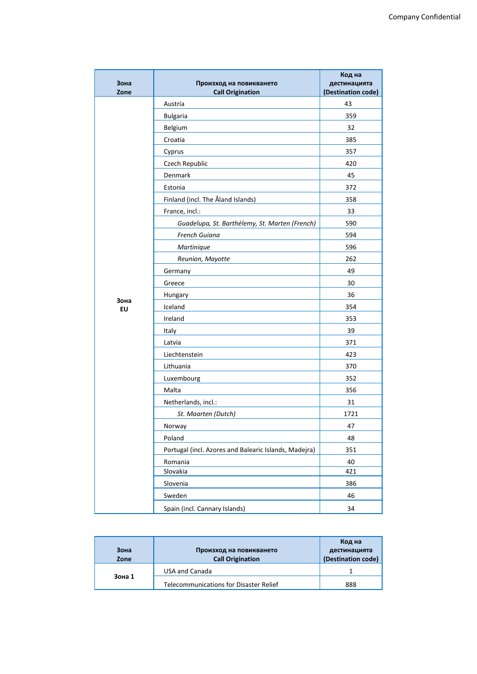| Зона<br>Zone | Произход на повикването<br><b>Call Origination</b>    | Код на<br>дестинацията<br>(Destination code) |
|--------------|-------------------------------------------------------|----------------------------------------------|
|              | Austria                                               | 43                                           |
|              | <b>Bulgaria</b>                                       | 359                                          |
|              | Belgium                                               | 32                                           |
|              | Croatia                                               | 385                                          |
|              | Cyprus                                                | 357                                          |
|              | Czech Republic                                        | 420                                          |
|              | Denmark                                               | 45                                           |
|              | Estonia                                               | 372                                          |
|              | Finland (incl. The Åland Islands)                     | 358                                          |
|              | France, incl.:                                        | 33                                           |
|              | Guadelupa, St. Barthélemy, St. Marten (French)        | 590                                          |
|              | <b>French Guiana</b>                                  | 594                                          |
|              | Martinique                                            | 596                                          |
|              | Reunion, Mayotte                                      | 262                                          |
|              | Germany                                               | 49                                           |
|              | Greece                                                | 30                                           |
|              | Hungary                                               | 36                                           |
| Зона<br>EU   | Iceland                                               | 354                                          |
|              | Ireland                                               | 353                                          |
|              | Italy                                                 | 39                                           |
|              | Latvia                                                | 371                                          |
|              | Liechtenstein                                         | 423                                          |
|              | Lithuania                                             | 370                                          |
|              | Luxembourg                                            | 352                                          |
|              | Malta                                                 | 356                                          |
|              | Netherlands, incl.:                                   | 31                                           |
|              | St. Maarten (Dutch)                                   | 1721                                         |
|              | Norway                                                | 47                                           |
|              | Poland                                                | 48                                           |
|              | Portugal (incl. Azores and Balearic Islands, Madejra) | 351                                          |
|              | Romania                                               | 40                                           |
|              | Slovakia                                              | 421                                          |
|              | Slovenia                                              | 386                                          |
|              | Sweden                                                | 46                                           |
|              | Spain (incl. Cannary Islands)                         | 34                                           |

| Зона<br>Zone | Произход на повикването<br><b>Call Origination</b> | Код на<br>дестинацията<br>(Destination code) |
|--------------|----------------------------------------------------|----------------------------------------------|
|              |                                                    |                                              |
|              | USA and Canada                                     |                                              |
| Зона 1       | <b>Telecommunications for Disaster Relief</b>      | 888                                          |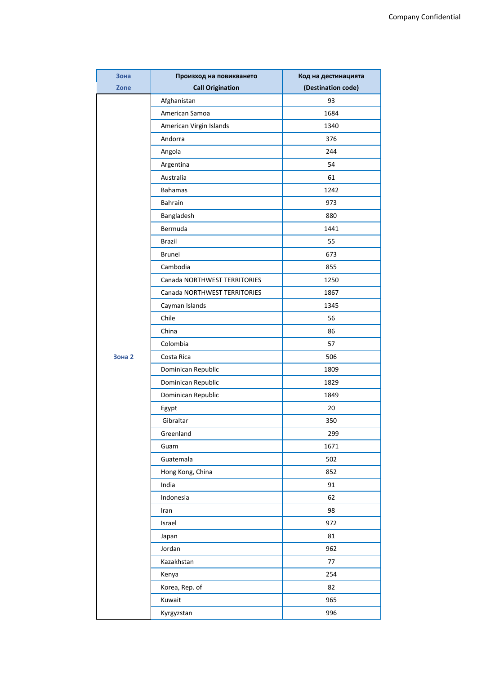| Зона          | Произход на повикването      | Код на дестинацията |
|---------------|------------------------------|---------------------|
| Zone          | <b>Call Origination</b>      | (Destination code)  |
|               | Afghanistan                  | 93                  |
|               | American Samoa               | 1684                |
|               | American Virgin Islands      | 1340                |
|               | Andorra                      | 376                 |
|               | Angola                       | 244                 |
|               | Argentina                    | 54                  |
|               | Australia                    | 61                  |
|               | <b>Bahamas</b>               | 1242                |
|               | Bahrain                      | 973                 |
|               | Bangladesh                   | 880                 |
|               | Bermuda                      | 1441                |
|               | <b>Brazil</b>                | 55                  |
|               | <b>Brunei</b>                | 673                 |
|               | Cambodia                     | 855                 |
|               | Canada NORTHWEST TERRITORIES | 1250                |
|               | Canada NORTHWEST TERRITORIES | 1867                |
|               | Cayman Islands               | 1345                |
|               | Chile                        | 56                  |
|               | China                        | 86                  |
|               | Colombia                     | 57                  |
| <b>Зона 2</b> | Costa Rica                   | 506                 |
|               | Dominican Republic           | 1809                |
|               | Dominican Republic           | 1829                |
|               | Dominican Republic           | 1849                |
|               | Egypt                        | 20                  |
|               | Gibraltar                    | 350                 |
|               | Greenland                    | 299                 |
|               | Guam                         | 1671                |
|               | Guatemala                    | 502                 |
|               | Hong Kong, China             | 852                 |
|               | India                        | 91                  |
|               | Indonesia                    | 62                  |
|               | Iran                         | 98                  |
|               | Israel                       | 972                 |
|               | Japan                        | 81                  |
|               | Jordan                       | 962                 |
|               | Kazakhstan                   | 77                  |
|               | Kenya                        | 254                 |
|               | Korea, Rep. of               | 82                  |
|               | Kuwait                       | 965                 |
|               | Kyrgyzstan                   | 996                 |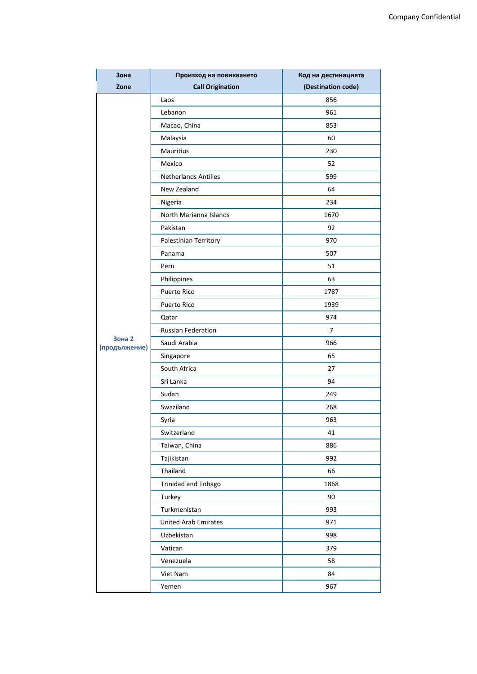| Зона                           | Произход на повикването     | Код на дестинацията |
|--------------------------------|-----------------------------|---------------------|
| Zone                           | <b>Call Origination</b>     | (Destination code)  |
|                                | Laos                        | 856                 |
|                                | Lebanon                     | 961                 |
|                                | Macao, China                | 853                 |
|                                | Malaysia                    | 60                  |
|                                | Mauritius                   | 230                 |
|                                | Mexico                      | 52                  |
|                                | <b>Netherlands Antilles</b> | 599                 |
|                                | New Zealand                 | 64                  |
|                                | Nigeria                     | 234                 |
|                                | North Marianna Islands      | 1670                |
|                                | Pakistan                    | 92                  |
|                                | Palestinian Territory       | 970                 |
|                                | Panama                      | 507                 |
|                                | Peru                        | 51                  |
|                                | Philippines                 | 63                  |
|                                | <b>Puerto Rico</b>          | 1787                |
|                                | Puerto Rico                 | 1939                |
|                                | Qatar                       | 974                 |
|                                | <b>Russian Federation</b>   | 7                   |
| <b>Зона 2</b><br>(продължение) | Saudi Arabia                | 966                 |
|                                | Singapore                   | 65                  |
|                                | South Africa                | 27                  |
|                                | Sri Lanka                   | 94                  |
|                                | Sudan                       | 249                 |
|                                | Swaziland                   | 268                 |
|                                | Syria                       | 963                 |
|                                | Switzerland                 | 41                  |
|                                | Taiwan, China               | 886                 |
|                                | Tajikistan                  | 992                 |
|                                | Thailand                    | 66                  |
|                                | <b>Trinidad and Tobago</b>  | 1868                |
|                                | Turkey                      | 90                  |
|                                | Turkmenistan                | 993                 |
|                                | <b>United Arab Emirates</b> | 971                 |
|                                | Uzbekistan                  | 998                 |
|                                | Vatican                     | 379                 |
|                                | Venezuela                   | 58                  |
|                                | Viet Nam                    | 84                  |
|                                | Yemen                       | 967                 |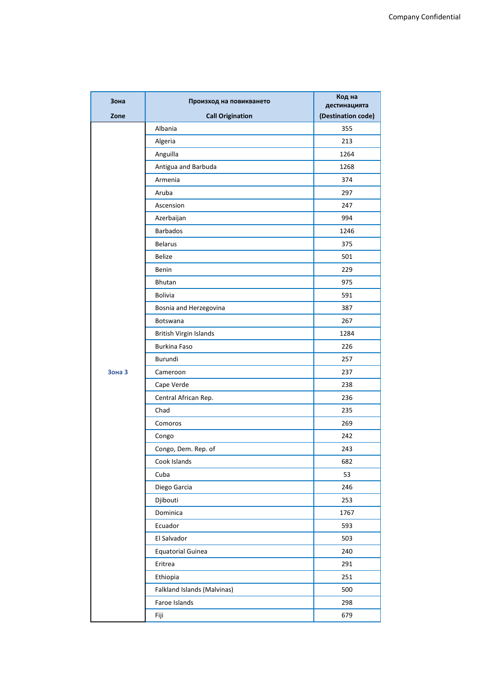| Зона   | Произход на повикването     | Код на<br>дестинацията |
|--------|-----------------------------|------------------------|
| Zone   | <b>Call Origination</b>     | (Destination code)     |
|        | Albania                     | 355                    |
|        | Algeria                     | 213                    |
|        | Anguilla                    | 1264                   |
|        | Antigua and Barbuda         | 1268                   |
|        | Armenia                     | 374                    |
|        | Aruba                       | 297                    |
|        | Ascension                   | 247                    |
|        | Azerbaijan                  | 994                    |
|        | <b>Barbados</b>             | 1246                   |
|        | <b>Belarus</b>              | 375                    |
|        | <b>Belize</b>               | 501                    |
|        | Benin                       | 229                    |
|        | Bhutan                      | 975                    |
|        | <b>Bolivia</b>              | 591                    |
|        | Bosnia and Herzegovina      | 387                    |
|        | Botswana                    | 267                    |
|        | British Virgin Islands      | 1284                   |
|        | <b>Burkina Faso</b>         | 226                    |
|        | Burundi                     | 257                    |
| Зона З | Cameroon                    | 237                    |
|        | Cape Verde                  | 238                    |
|        | Central African Rep.        | 236                    |
|        | Chad                        | 235                    |
|        | Comoros                     | 269                    |
|        | Congo                       | 242                    |
|        | Congo, Dem. Rep. of         | 243                    |
|        | Cook Islands                | 682                    |
|        | Cuba                        | 53                     |
|        | Diego Garcia                | 246                    |
|        | Djibouti                    | 253                    |
|        | Dominica                    | 1767                   |
|        | Ecuador                     | 593                    |
|        | El Salvador                 | 503                    |
|        | <b>Equatorial Guinea</b>    | 240                    |
|        | Eritrea                     | 291                    |
|        | Ethiopia                    | 251                    |
|        | Falkland Islands (Malvinas) | 500                    |
|        | Faroe Islands               | 298                    |
|        | Fiji                        | 679                    |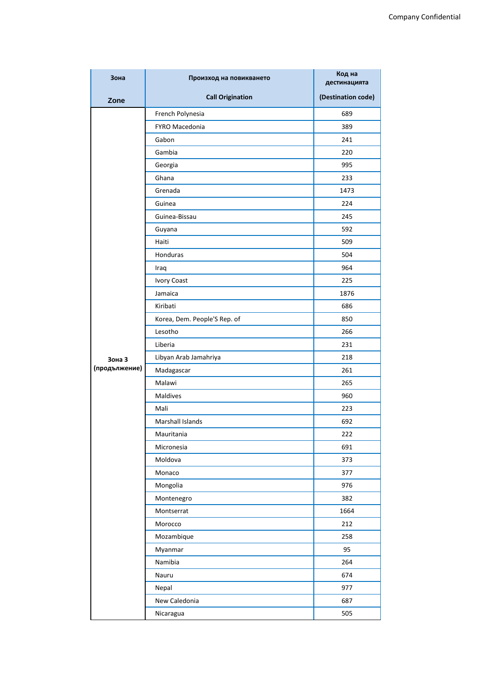| Зона          | Произход на повикването      | Код на<br>дестинацията |
|---------------|------------------------------|------------------------|
| Zone          | <b>Call Origination</b>      | (Destination code)     |
|               | French Polynesia             | 689                    |
|               | FYRO Macedonia               | 389                    |
|               | Gabon                        | 241                    |
|               | Gambia                       | 220                    |
|               | Georgia                      | 995                    |
|               | Ghana                        | 233                    |
|               | Grenada                      | 1473                   |
|               | Guinea                       | 224                    |
|               | Guinea-Bissau                | 245                    |
|               | Guyana                       | 592                    |
|               | Haiti                        | 509                    |
|               | Honduras                     | 504                    |
|               | Iraq                         | 964                    |
|               | <b>Ivory Coast</b>           | 225                    |
|               | Jamaica                      | 1876                   |
|               | Kiribati                     | 686                    |
|               | Korea, Dem. People'S Rep. of | 850                    |
|               | Lesotho                      | 266                    |
|               | Liberia                      | 231                    |
| Зона З        | Libyan Arab Jamahriya        | 218                    |
| (продължение) | Madagascar                   | 261                    |
|               | Malawi                       | 265                    |
|               | <b>Maldives</b>              | 960                    |
|               | Mali                         | 223                    |
|               | Marshall Islands             | 692                    |
|               | Mauritania                   | 222                    |
|               | Micronesia                   | 691                    |
|               | Moldova                      | 373                    |
|               | Monaco                       | 377                    |
|               | Mongolia                     | 976                    |
|               | Montenegro                   | 382                    |
|               | Montserrat                   | 1664                   |
|               | Morocco                      | 212                    |
|               | Mozambique                   | 258                    |
|               | Myanmar                      | 95                     |
|               | Namibia                      | 264                    |
|               | Nauru                        | 674                    |
|               | Nepal                        | 977                    |
|               | New Caledonia                | 687                    |
|               | Nicaragua                    | 505                    |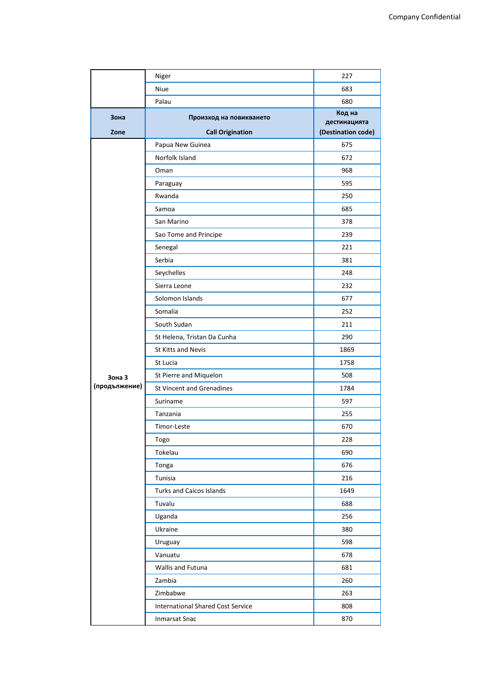|               | Niger                                    | 227                                |
|---------------|------------------------------------------|------------------------------------|
|               | Niue                                     | 683                                |
|               | Palau                                    | 680                                |
| Зона          | Произход на повикването                  | Код на                             |
| Zone          | <b>Call Origination</b>                  | дестинацията<br>(Destination code) |
|               | Papua New Guinea                         | 675                                |
|               | Norfolk Island                           | 672                                |
|               | Oman                                     | 968                                |
|               | Paraguay                                 | 595                                |
|               | Rwanda                                   | 250                                |
|               | Samoa                                    | 685                                |
|               | San Marino                               | 378                                |
|               | Sao Tome and Principe                    | 239                                |
|               | Senegal                                  | 221                                |
|               | Serbia                                   | 381                                |
|               | Seychelles                               | 248                                |
|               | Sierra Leone                             | 232                                |
|               | Solomon Islands                          | 677                                |
|               | Somalia                                  | 252                                |
|               | South Sudan                              | 211                                |
|               | St Helena, Tristan Da Cunha              | 290                                |
|               | St Kitts and Nevis                       | 1869                               |
|               | St Lucia                                 | 1758                               |
| Зона З        | St Pierre and Miquelon                   | 508                                |
| (продължение) | <b>St Vincent and Grenadines</b>         | 1784                               |
|               | Suriname                                 | 597                                |
|               | Tanzania                                 | 255                                |
|               | Timor-Leste                              | 670                                |
|               | Togo                                     | 228                                |
|               | Tokelau                                  | 690                                |
|               | Tonga                                    | 676                                |
|               | Tunisia                                  | 216                                |
|               | <b>Turks and Caicos Islands</b>          | 1649                               |
|               | Tuvalu                                   | 688                                |
|               | Uganda                                   | 256                                |
|               | Ukraine                                  | 380                                |
|               | Uruguay                                  | 598                                |
|               | Vanuatu                                  | 678                                |
|               | Wallis and Futuna                        | 681                                |
|               | Zambia                                   | 260                                |
|               | Zimbabwe                                 | 263                                |
|               | <b>International Shared Cost Service</b> | 808                                |
|               | <b>Inmarsat Snac</b>                     | 870                                |